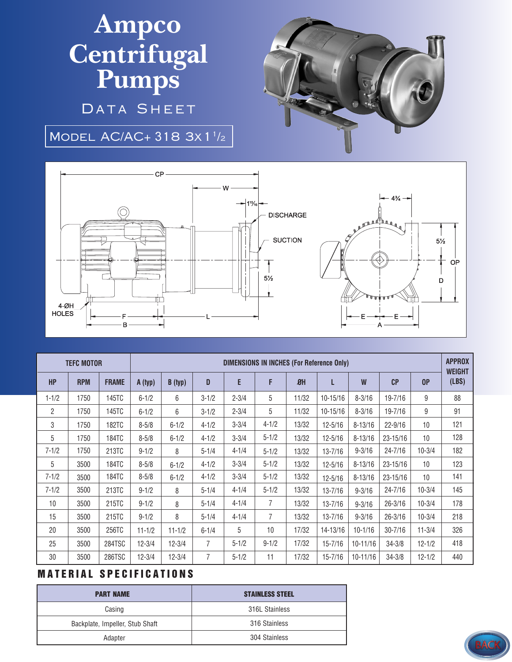## **Ampco Centrifugal Pumps**

DATA SHEET

MODEL AC/AC+ 318 3x 1<sup>1</sup>/2



| <b>TEFC MOTOR</b> |            |              | <b>DIMENSIONS IN INCHES (For Reference Only)</b> |            |                |           |                |       |              |              |                |            | <b>APPROX</b><br><b>WEIGHT</b> |
|-------------------|------------|--------------|--------------------------------------------------|------------|----------------|-----------|----------------|-------|--------------|--------------|----------------|------------|--------------------------------|
| <b>HP</b>         | <b>RPM</b> | <b>FRAME</b> | A (typ)                                          | B (typ)    | D              | E         | F              | $B$ H | L            | W            | C <sub>P</sub> | 0P         | (LBS)                          |
| $1 - 1/2$         | 1750       | 145TC        | $6 - 1/2$                                        | 6          | $3 - 1/2$      | $2 - 3/4$ | 5              | 11/32 | 10-15/16     | $8 - 3/16$   | 19-7/16        | 9          | 88                             |
| $\overline{2}$    | 1750       | 145TC        | $6 - 1/2$                                        | 6          | $3 - 1/2$      | $2 - 3/4$ | 5              | 11/32 | $10 - 15/16$ | $8 - 3/16$   | 19-7/16        | 9          | 91                             |
| 3                 | 1750       | 182TC        | $8 - 5/8$                                        | $6 - 1/2$  | $4 - 1/2$      | $3 - 3/4$ | $4 - 1/2$      | 13/32 | $12 - 5/16$  | $8 - 13/16$  | $22 - 9/16$    | 10         | 121                            |
| 5                 | 1750       | 184TC        | $8 - 5/8$                                        | $6 - 1/2$  | $4 - 1/2$      | $3 - 3/4$ | $5 - 1/2$      | 13/32 | $12 - 5/16$  | $8 - 13/16$  | 23-15/16       | 10         | 128                            |
| $7 - 1/2$         | 1750       | 213TC        | $9 - 1/2$                                        | 8          | $5 - 1/4$      | $4 - 1/4$ | $5 - 1/2$      | 13/32 | $13 - 7/16$  | $9 - 3/16$   | $24 - 7/16$    | $10 - 3/4$ | 182                            |
| 5                 | 3500       | 184TC        | $8 - 5/8$                                        | $6 - 1/2$  | $4 - 1/2$      | $3 - 3/4$ | $5 - 1/2$      | 13/32 | $12 - 5/16$  | $8 - 13/16$  | 23-15/16       | 10         | 123                            |
| $7 - 1/2$         | 3500       | 184TC        | $8 - 5/8$                                        | $6 - 1/2$  | $4 - 1/2$      | $3 - 3/4$ | $5 - 1/2$      | 13/32 | $12 - 5/16$  | $8 - 13/16$  | $23 - 15/16$   | 10         | 141                            |
| $7 - 1/2$         | 3500       | 213TC        | $9 - 1/2$                                        | 8          | $5 - 1/4$      | $4 - 1/4$ | $5 - 1/2$      | 13/32 | $13 - 7/16$  | $9 - 3/16$   | $24 - 7/16$    | $10 - 3/4$ | 145                            |
| 10                | 3500       | 215TC        | $9 - 1/2$                                        | 8          | $5 - 1/4$      | $4 - 1/4$ | $\overline{7}$ | 13/32 | $13 - 7/16$  | $9 - 3/16$   | $26 - 3/16$    | $10 - 3/4$ | 178                            |
| 15                | 3500       | 215TC        | $9 - 1/2$                                        | 8          | $5 - 1/4$      | $4 - 1/4$ | $\overline{7}$ | 13/32 | $13 - 7/16$  | $9 - 3/16$   | $26 - 3/16$    | $10 - 3/4$ | 218                            |
| 20                | 3500       | 256TC        | $11 - 1/2$                                       | $11 - 1/2$ | $6 - 1/4$      | 5         | 10             | 17/32 | 14-13/16     | $10 - 1/16$  | $30 - 7/16$    | $11 - 3/4$ | 326                            |
| 25                | 3500       | 284TSC       | $12 - 3/4$                                       | $12 - 3/4$ | 7              | $5 - 1/2$ | $9 - 1/2$      | 17/32 | $15 - 7/16$  | $10 - 11/16$ | $34 - 3/8$     | $12 - 1/2$ | 418                            |
| 30                | 3500       | 286TSC       | $12 - 3/4$                                       | $12 - 3/4$ | $\overline{7}$ | $5 - 1/2$ | 11             | 17/32 | $15 - 7/16$  | 10-11/16     | $34 - 3/8$     | $12 - 1/2$ | 440                            |

## **MATERIAL SPECIFICATIONS**

| <b>PART NAME</b>                | <b>STAINLESS STEEL</b> |  |  |  |  |
|---------------------------------|------------------------|--|--|--|--|
| Casing                          | 316L Stainless         |  |  |  |  |
| Backplate, Impeller, Stub Shaft | 316 Stainless          |  |  |  |  |
| Adapter                         | 304 Stainless          |  |  |  |  |